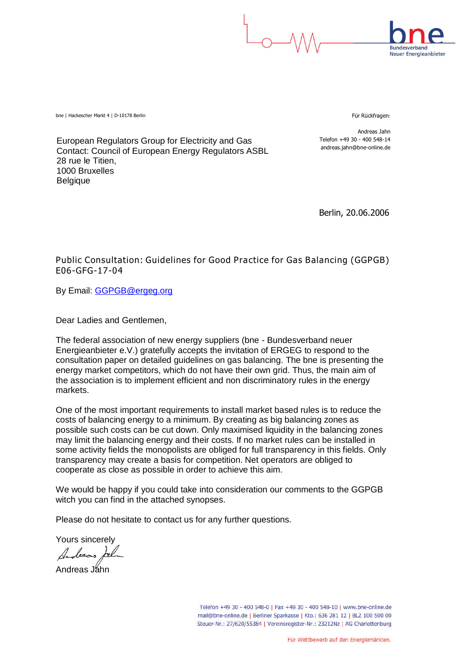

**Rundesverhand Neuer Energieanbieter** 

bne | Hackescher Markt 4 | D-10178 Berlin Für Rückfragen: Ein Rückfragen: Für Rückfragen: Für Rückfragen: Für

Andreas Jahn Telefon +49 30 - 400 548-14 andreas.jahn@bne-online.de

European Regulators Group for Electricity and Gas Contact: Council of European Energy Regulators ASBL 28 rue le Titien, 1000 Bruxelles Belgique

Berlin, 20.06.2006

**Public Consultation: Guidelines for Good Practice for Gas Balancing (GGPGB) E06-GFG-17-04**

By Email: GGPGB@ergeg.org

Dear Ladies and Gentlemen,

The federal association of new energy suppliers (bne - Bundesverband neuer Energieanbieter e.V.) gratefully accepts the invitation of ERGEG to respond to the consultation paper on detailed guidelines on gas balancing. The bne is presenting the energy market competitors, which do not have their own grid. Thus, the main aim of the association is to implement efficient and non discriminatory rules in the energy markets.

One of the most important requirements to install market based rules is to reduce the costs of balancing energy to a minimum. By creating as big balancing zones as possible such costs can be cut down. Only maximised liquidity in the balancing zones may limit the balancing energy and their costs. If no market rules can be installed in some activity fields the monopolists are obliged for full transparency in this fields. Only transparency may create a basis for competition. Net operators are obliged to cooperate as close as possible in order to achieve this aim.

We would be happy if you could take into consideration our comments to the GGPGB witch you can find in the attached synopses.

Please do not hesitate to contact us for any further questions.

Yours sincerely

leeas

Andreas Jahn

Telefon +49 30 - 400 548-0 | Fax +49 30 - 400 548-10 | www.bne-online.de mail@bne-online.de | Berliner Sparkasse | Kto.: 636 281 12 | BLZ 100 500 00 Steuer-Nr.: 27/620/55384 | Vereinsregister-Nr.: 23212Nz | AG Charlottenburg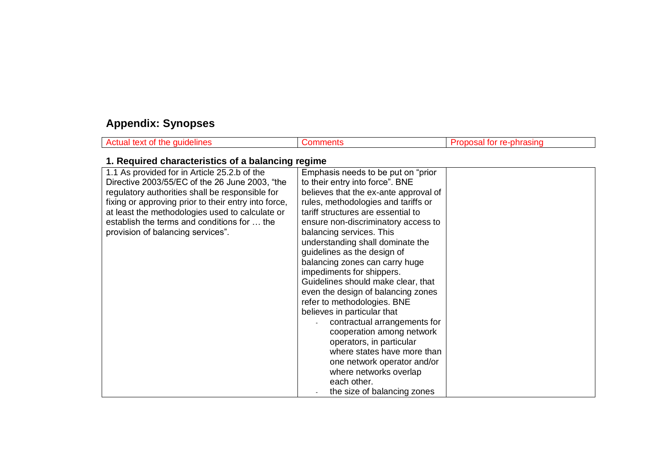# **Appendix: Synopses**

| Actual text of the guidelines                                                                                                                                                                                                                                                                                                                    | <b>Comments</b>                                                                                                                                                                                                                                                                                                                                                                                                                                                                                                                                                                                                                                                                                                                                                            | Proposal for re-phrasing |
|--------------------------------------------------------------------------------------------------------------------------------------------------------------------------------------------------------------------------------------------------------------------------------------------------------------------------------------------------|----------------------------------------------------------------------------------------------------------------------------------------------------------------------------------------------------------------------------------------------------------------------------------------------------------------------------------------------------------------------------------------------------------------------------------------------------------------------------------------------------------------------------------------------------------------------------------------------------------------------------------------------------------------------------------------------------------------------------------------------------------------------------|--------------------------|
| 1. Required characteristics of a balancing regime                                                                                                                                                                                                                                                                                                |                                                                                                                                                                                                                                                                                                                                                                                                                                                                                                                                                                                                                                                                                                                                                                            |                          |
| 1.1 As provided for in Article 25.2.b of the<br>Directive 2003/55/EC of the 26 June 2003, "the<br>regulatory authorities shall be responsible for<br>fixing or approving prior to their entry into force,<br>at least the methodologies used to calculate or<br>establish the terms and conditions for  the<br>provision of balancing services". | Emphasis needs to be put on "prior"<br>to their entry into force". BNE<br>believes that the ex-ante approval of<br>rules, methodologies and tariffs or<br>tariff structures are essential to<br>ensure non-discriminatory access to<br>balancing services. This<br>understanding shall dominate the<br>guidelines as the design of<br>balancing zones can carry huge<br>impediments for shippers.<br>Guidelines should make clear, that<br>even the design of balancing zones<br>refer to methodologies. BNE<br>believes in particular that<br>contractual arrangements for<br>cooperation among network<br>operators, in particular<br>where states have more than<br>one network operator and/or<br>where networks overlap<br>each other.<br>the size of balancing zones |                          |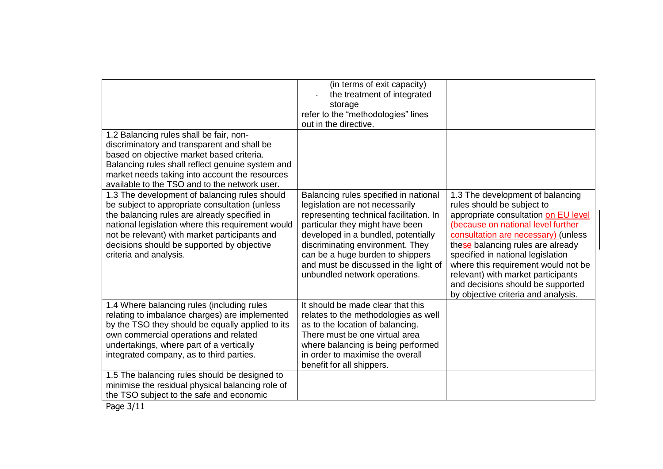|                                                                                                                                                                                                                                                                                                                               | (in terms of exit capacity)<br>the treatment of integrated<br>storage<br>refer to the "methodologies" lines<br>out in the directive.                                                                                                                                                                                                            |                                                                                                                                                                                                                                                                                                                                                                                                                        |
|-------------------------------------------------------------------------------------------------------------------------------------------------------------------------------------------------------------------------------------------------------------------------------------------------------------------------------|-------------------------------------------------------------------------------------------------------------------------------------------------------------------------------------------------------------------------------------------------------------------------------------------------------------------------------------------------|------------------------------------------------------------------------------------------------------------------------------------------------------------------------------------------------------------------------------------------------------------------------------------------------------------------------------------------------------------------------------------------------------------------------|
| 1.2 Balancing rules shall be fair, non-<br>discriminatory and transparent and shall be<br>based on objective market based criteria.<br>Balancing rules shall reflect genuine system and<br>market needs taking into account the resources<br>available to the TSO and to the network user.                                    |                                                                                                                                                                                                                                                                                                                                                 |                                                                                                                                                                                                                                                                                                                                                                                                                        |
| 1.3 The development of balancing rules should<br>be subject to appropriate consultation (unless<br>the balancing rules are already specified in<br>national legislation where this requirement would<br>not be relevant) with market participants and<br>decisions should be supported by objective<br>criteria and analysis. | Balancing rules specified in national<br>legislation are not necessarily<br>representing technical facilitation. In<br>particular they might have been<br>developed in a bundled, potentially<br>discriminating environment. They<br>can be a huge burden to shippers<br>and must be discussed in the light of<br>unbundled network operations. | 1.3 The development of balancing<br>rules should be subject to<br>appropriate consultation on EU level<br>(because on national level further<br>consultation are necessary) (unless<br>these balancing rules are already<br>specified in national legislation<br>where this requirement would not be<br>relevant) with market participants<br>and decisions should be supported<br>by objective criteria and analysis. |
| 1.4 Where balancing rules (including rules<br>relating to imbalance charges) are implemented<br>by the TSO they should be equally applied to its<br>own commercial operations and related<br>undertakings, where part of a vertically<br>integrated company, as to third parties.                                             | It should be made clear that this<br>relates to the methodologies as well<br>as to the location of balancing.<br>There must be one virtual area<br>where balancing is being performed<br>in order to maximise the overall<br>benefit for all shippers.                                                                                          |                                                                                                                                                                                                                                                                                                                                                                                                                        |
| 1.5 The balancing rules should be designed to<br>minimise the residual physical balancing role of<br>the TSO subject to the safe and economic                                                                                                                                                                                 |                                                                                                                                                                                                                                                                                                                                                 |                                                                                                                                                                                                                                                                                                                                                                                                                        |

Page 3/11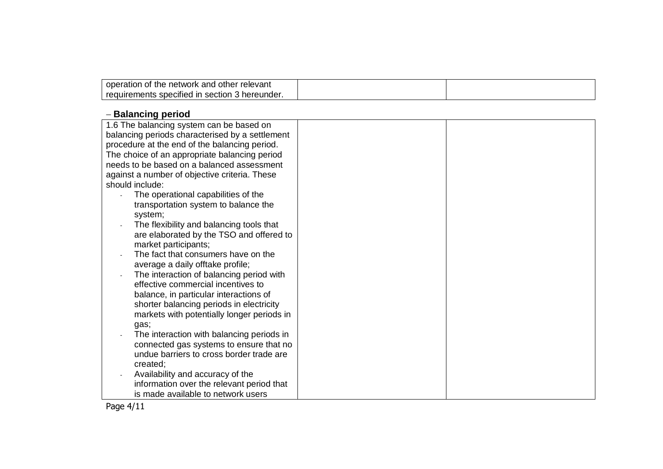| operation<br>other relevant<br>network<br>and<br>the<br>OT      |  |
|-----------------------------------------------------------------|--|
| uirements specified in<br>' hereunder.<br>regu.<br>section<br>ີ |  |

#### **- Balancing period**

| 1.6 The balancing system can be based on        |  |
|-------------------------------------------------|--|
| balancing periods characterised by a settlement |  |
| procedure at the end of the balancing period.   |  |
| The choice of an appropriate balancing period   |  |
| needs to be based on a balanced assessment      |  |
| against a number of objective criteria. These   |  |
| should include:                                 |  |
| The operational capabilities of the             |  |
| transportation system to balance the            |  |
| system;                                         |  |
| The flexibility and balancing tools that        |  |
| are elaborated by the TSO and offered to        |  |
| market participants;                            |  |
| The fact that consumers have on the             |  |
| average a daily offtake profile;                |  |
| The interaction of balancing period with        |  |
| effective commercial incentives to              |  |
| balance, in particular interactions of          |  |
| shorter balancing periods in electricity        |  |
| markets with potentially longer periods in      |  |
| gas;                                            |  |
| The interaction with balancing periods in       |  |
| connected gas systems to ensure that no         |  |
| undue barriers to cross border trade are        |  |
| created;                                        |  |
| Availability and accuracy of the                |  |
| information over the relevant period that       |  |
| is made available to network users              |  |

Page 4/11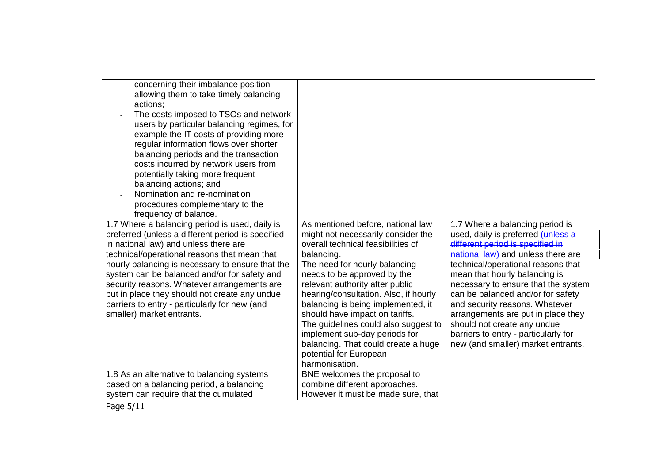| concerning their imbalance position<br>allowing them to take timely balancing<br>actions:<br>The costs imposed to TSOs and network<br>users by particular balancing regimes, for<br>example the IT costs of providing more<br>regular information flows over shorter<br>balancing periods and the transaction<br>costs incurred by network users from<br>potentially taking more frequent<br>balancing actions; and<br>Nomination and re-nomination<br>procedures complementary to the<br>frequency of balance. |                                                                                                                                                                                                                                                                                                                                                                                                                                                                                                             |                                                                                                                                                                                                                                                                                                                                                                                                                                                                                         |
|-----------------------------------------------------------------------------------------------------------------------------------------------------------------------------------------------------------------------------------------------------------------------------------------------------------------------------------------------------------------------------------------------------------------------------------------------------------------------------------------------------------------|-------------------------------------------------------------------------------------------------------------------------------------------------------------------------------------------------------------------------------------------------------------------------------------------------------------------------------------------------------------------------------------------------------------------------------------------------------------------------------------------------------------|-----------------------------------------------------------------------------------------------------------------------------------------------------------------------------------------------------------------------------------------------------------------------------------------------------------------------------------------------------------------------------------------------------------------------------------------------------------------------------------------|
| 1.7 Where a balancing period is used, daily is<br>preferred (unless a different period is specified<br>in national law) and unless there are<br>technical/operational reasons that mean that<br>hourly balancing is necessary to ensure that the<br>system can be balanced and/or for safety and<br>security reasons. Whatever arrangements are<br>put in place they should not create any undue<br>barriers to entry - particularly for new (and<br>smaller) market entrants.                                  | As mentioned before, national law<br>might not necessarily consider the<br>overall technical feasibilities of<br>balancing.<br>The need for hourly balancing<br>needs to be approved by the<br>relevant authority after public<br>hearing/consultation. Also, if hourly<br>balancing is being implemented, it<br>should have impact on tariffs.<br>The guidelines could also suggest to<br>implement sub-day periods for<br>balancing. That could create a huge<br>potential for European<br>harmonisation. | 1.7 Where a balancing period is<br>used, daily is preferred (unless a<br>different period is specified in<br>national law) and unless there are<br>technical/operational reasons that<br>mean that hourly balancing is<br>necessary to ensure that the system<br>can be balanced and/or for safety<br>and security reasons. Whatever<br>arrangements are put in place they<br>should not create any undue<br>barriers to entry - particularly for<br>new (and smaller) market entrants. |
| 1.8 As an alternative to balancing systems<br>based on a balancing period, a balancing<br>system can require that the cumulated                                                                                                                                                                                                                                                                                                                                                                                 | BNE welcomes the proposal to<br>combine different approaches.<br>However it must be made sure, that                                                                                                                                                                                                                                                                                                                                                                                                         |                                                                                                                                                                                                                                                                                                                                                                                                                                                                                         |
|                                                                                                                                                                                                                                                                                                                                                                                                                                                                                                                 |                                                                                                                                                                                                                                                                                                                                                                                                                                                                                                             |                                                                                                                                                                                                                                                                                                                                                                                                                                                                                         |

Page 5/11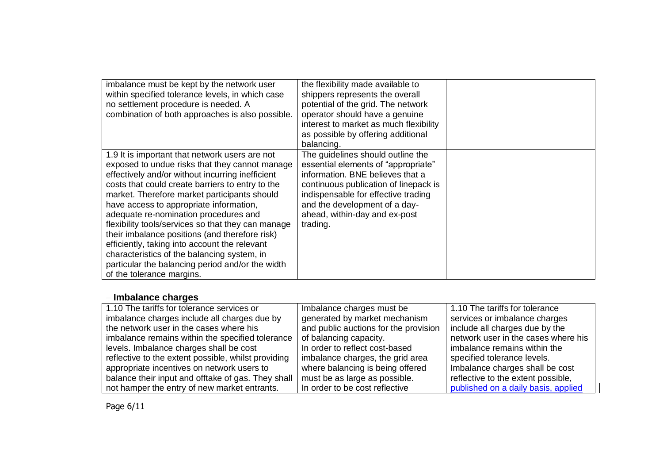| imbalance must be kept by the network user<br>within specified tolerance levels, in which case<br>no settlement procedure is needed. A<br>combination of both approaches is also possible.                                                                                                                                                                                                                                                                                                                                                                                                                                            | the flexibility made available to<br>shippers represents the overall<br>potential of the grid. The network<br>operator should have a genuine<br>interest to market as much flexibility<br>as possible by offering additional<br>balancing.                                 |  |
|---------------------------------------------------------------------------------------------------------------------------------------------------------------------------------------------------------------------------------------------------------------------------------------------------------------------------------------------------------------------------------------------------------------------------------------------------------------------------------------------------------------------------------------------------------------------------------------------------------------------------------------|----------------------------------------------------------------------------------------------------------------------------------------------------------------------------------------------------------------------------------------------------------------------------|--|
| 1.9 It is important that network users are not<br>exposed to undue risks that they cannot manage<br>effectively and/or without incurring inefficient<br>costs that could create barriers to entry to the<br>market. Therefore market participants should<br>have access to appropriate information,<br>adequate re-nomination procedures and<br>flexibility tools/services so that they can manage<br>their imbalance positions (and therefore risk)<br>efficiently, taking into account the relevant<br>characteristics of the balancing system, in<br>particular the balancing period and/or the width<br>of the tolerance margins. | The guidelines should outline the<br>essential elements of "appropriate"<br>information. BNE believes that a<br>continuous publication of linepack is<br>indispensable for effective trading<br>and the development of a day-<br>ahead, within-day and ex-post<br>trading. |  |

### **Imbalance charges**

| 1.10 The tariffs for tolerance services or          | Imbalance charges must be             | 1.10 The tariffs for tolerance      |
|-----------------------------------------------------|---------------------------------------|-------------------------------------|
| imbalance charges include all charges due by        | generated by market mechanism         | services or imbalance charges       |
| the network user in the cases where his             | and public auctions for the provision | include all charges due by the      |
| imbalance remains within the specified tolerance    | of balancing capacity.                | network user in the cases where his |
| levels. Imbalance charges shall be cost             | In order to reflect cost-based        | imbalance remains within the        |
| reflective to the extent possible, whilst providing | imbalance charges, the grid area      | specified tolerance levels.         |
| appropriate incentives on network users to          | where balancing is being offered      | Imbalance charges shall be cost     |
| balance their input and offtake of gas. They shall  | must be as large as possible.         | reflective to the extent possible,  |
| not hamper the entry of new market entrants.        | In order to be cost reflective        | published on a daily basis, applied |

Page 6/11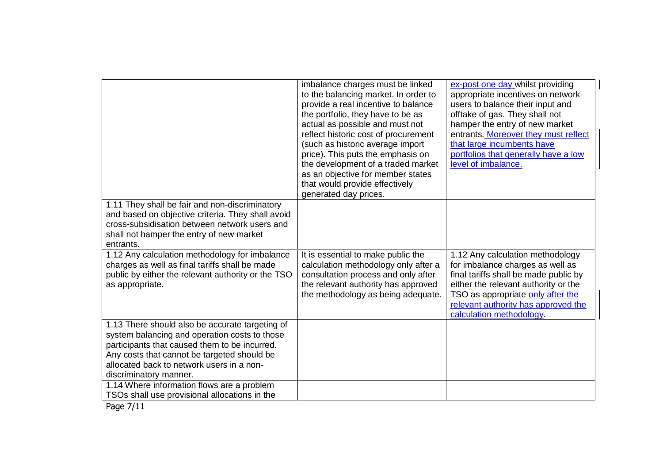|                                                                                                                                                                                                                                                                                                                       | imbalance charges must be linked<br>to the balancing market. In order to<br>provide a real incentive to balance<br>the portfolio, they have to be as<br>actual as possible and must not<br>reflect historic cost of procurement<br>(such as historic average import<br>price). This puts the emphasis on<br>the development of a traded market<br>as an objective for member states<br>that would provide effectively<br>generated day prices. | ex-post one day whilst providing<br>appropriate incentives on network<br>users to balance their input and<br>offtake of gas. They shall not<br>hamper the entry of new market<br>entrants. Moreover they must reflect<br>that large incumbents have<br>portfolios that generally have a low<br>level of imbalance. |
|-----------------------------------------------------------------------------------------------------------------------------------------------------------------------------------------------------------------------------------------------------------------------------------------------------------------------|------------------------------------------------------------------------------------------------------------------------------------------------------------------------------------------------------------------------------------------------------------------------------------------------------------------------------------------------------------------------------------------------------------------------------------------------|--------------------------------------------------------------------------------------------------------------------------------------------------------------------------------------------------------------------------------------------------------------------------------------------------------------------|
| 1.11 They shall be fair and non-discriminatory<br>and based on objective criteria. They shall avoid<br>cross-subsidisation between network users and<br>shall not hamper the entry of new market<br>entrants.                                                                                                         |                                                                                                                                                                                                                                                                                                                                                                                                                                                |                                                                                                                                                                                                                                                                                                                    |
| 1.12 Any calculation methodology for imbalance<br>charges as well as final tariffs shall be made<br>public by either the relevant authority or the TSO<br>as appropriate.                                                                                                                                             | It is essential to make public the<br>calculation methodology only after a<br>consultation process and only after<br>the relevant authority has approved<br>the methodology as being adequate.                                                                                                                                                                                                                                                 | 1.12 Any calculation methodology<br>for imbalance charges as well as<br>final tariffs shall be made public by<br>either the relevant authority or the<br>TSO as appropriate only after the<br>relevant authority has approved the<br>calculation methodology.                                                      |
| 1.13 There should also be accurate targeting of<br>system balancing and operation costs to those<br>participants that caused them to be incurred.<br>Any costs that cannot be targeted should be<br>allocated back to network users in a non-<br>discriminatory manner.<br>1.14 Where information flows are a problem |                                                                                                                                                                                                                                                                                                                                                                                                                                                |                                                                                                                                                                                                                                                                                                                    |
| TSOs shall use provisional allocations in the                                                                                                                                                                                                                                                                         |                                                                                                                                                                                                                                                                                                                                                                                                                                                |                                                                                                                                                                                                                                                                                                                    |

Page 7/11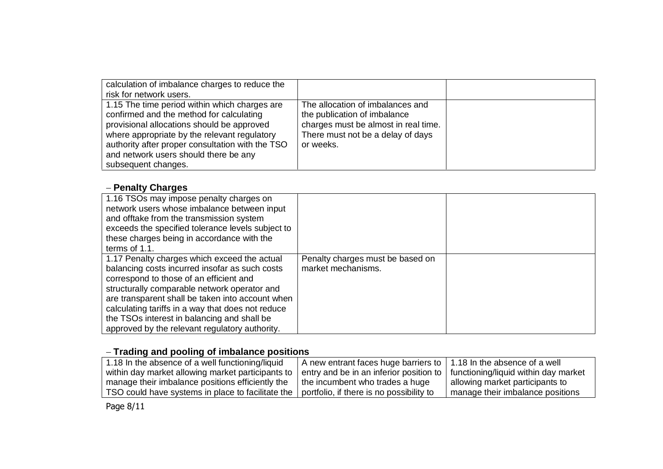| calculation of imbalance charges to reduce the<br>risk for network users.                                                                                                                                                                                                                                   |                                                                                                                                                            |  |
|-------------------------------------------------------------------------------------------------------------------------------------------------------------------------------------------------------------------------------------------------------------------------------------------------------------|------------------------------------------------------------------------------------------------------------------------------------------------------------|--|
| 1.15 The time period within which charges are<br>confirmed and the method for calculating<br>provisional allocations should be approved<br>where appropriate by the relevant regulatory<br>authority after proper consultation with the TSO<br>and network users should there be any<br>subsequent changes. | The allocation of imbalances and<br>the publication of imbalance<br>charges must be almost in real time.<br>There must not be a delay of days<br>or weeks. |  |

#### **- Penalty Charges**

| 1.16 TSOs may impose penalty charges on<br>network users whose imbalance between input<br>and offtake from the transmission system<br>exceeds the specified tolerance levels subject to<br>these charges being in accordance with the<br>terms of 1.1.                                                                                                                                              |                                                        |  |
|-----------------------------------------------------------------------------------------------------------------------------------------------------------------------------------------------------------------------------------------------------------------------------------------------------------------------------------------------------------------------------------------------------|--------------------------------------------------------|--|
| 1.17 Penalty charges which exceed the actual<br>balancing costs incurred insofar as such costs<br>correspond to those of an efficient and<br>structurally comparable network operator and<br>are transparent shall be taken into account when<br>calculating tariffs in a way that does not reduce<br>the TSOs interest in balancing and shall be<br>approved by the relevant regulatory authority. | Penalty charges must be based on<br>market mechanisms. |  |

# **Trading and pooling of imbalance positions**

| 1.18 In the absence of a well functioning/liquid  | A new entrant faces huge barriers to   1.18 In the absence of a well             |                                  |
|---------------------------------------------------|----------------------------------------------------------------------------------|----------------------------------|
| within day market allowing market participants to | l entry and be in an inferior position to   functioning/liquid within day market |                                  |
| manage their imbalance positions efficiently the  | the incumbent who trades a huge                                                  | allowing market participants to  |
| TSO could have systems in place to facilitate the | portfolio, if there is no possibility to                                         | manage their imbalance positions |

Page 8/11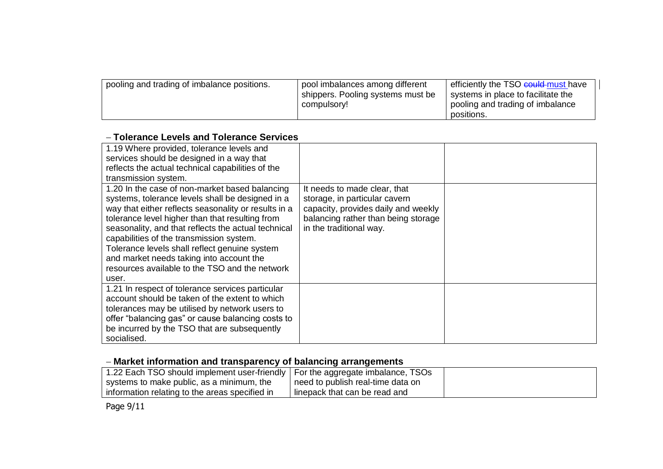| pooling and trading of imbalance positions. | pool imbalances among different   | efficiently the TSO could must have |
|---------------------------------------------|-----------------------------------|-------------------------------------|
|                                             | shippers. Pooling systems must be | systems in place to facilitate the  |
|                                             | compulsory!                       | pooling and trading of imbalance    |
|                                             |                                   | positions.                          |

#### **Tolerance Levels and Tolerance Services**

| 1.19 Where provided, tolerance levels and<br>services should be designed in a way that<br>reflects the actual technical capabilities of the<br>transmission system.                                                                                                                                                                                                                                                                                                      |                                                                                                                                                                        |  |
|--------------------------------------------------------------------------------------------------------------------------------------------------------------------------------------------------------------------------------------------------------------------------------------------------------------------------------------------------------------------------------------------------------------------------------------------------------------------------|------------------------------------------------------------------------------------------------------------------------------------------------------------------------|--|
| 1.20 In the case of non-market based balancing<br>systems, tolerance levels shall be designed in a<br>way that either reflects seasonality or results in a<br>tolerance level higher than that resulting from<br>seasonality, and that reflects the actual technical<br>capabilities of the transmission system.<br>Tolerance levels shall reflect genuine system<br>and market needs taking into account the<br>resources available to the TSO and the network<br>user. | It needs to made clear, that<br>storage, in particular cavern<br>capacity, provides daily and weekly<br>balancing rather than being storage<br>in the traditional way. |  |
| 1.21 In respect of tolerance services particular<br>account should be taken of the extent to which<br>tolerances may be utilised by network users to<br>offer "balancing gas" or cause balancing costs to<br>be incurred by the TSO that are subsequently<br>socialised.                                                                                                                                                                                                 |                                                                                                                                                                        |  |

## **Market information and transparency of balancing arrangements**

| 1.22 Each TSO should implement user-friendly   For the aggregate imbalance, TSOs |                                   |  |
|----------------------------------------------------------------------------------|-----------------------------------|--|
| systems to make public, as a minimum, the                                        | need to publish real-time data on |  |
| I information relating to the areas specified in                                 | linepack that can be read and     |  |

Page 9/11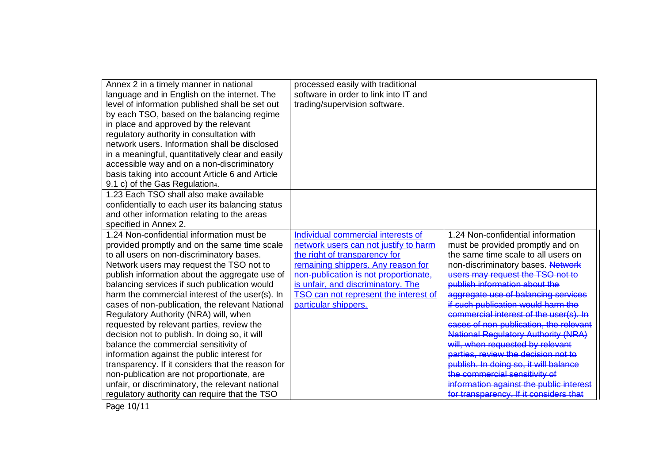| Annex 2 in a timely manner in national<br>language and in English on the internet. The<br>level of information published shall be set out<br>by each TSO, based on the balancing regime<br>in place and approved by the relevant<br>regulatory authority in consultation with<br>network users. Information shall be disclosed<br>in a meaningful, quantitatively clear and easily<br>accessible way and on a non-discriminatory<br>basis taking into account Article 6 and Article | processed easily with traditional<br>software in order to link into IT and<br>trading/supervision software. |                                            |
|-------------------------------------------------------------------------------------------------------------------------------------------------------------------------------------------------------------------------------------------------------------------------------------------------------------------------------------------------------------------------------------------------------------------------------------------------------------------------------------|-------------------------------------------------------------------------------------------------------------|--------------------------------------------|
| 9.1 c) of the Gas Regulation4.                                                                                                                                                                                                                                                                                                                                                                                                                                                      |                                                                                                             |                                            |
| 1.23 Each TSO shall also make available<br>confidentially to each user its balancing status<br>and other information relating to the areas<br>specified in Annex 2.                                                                                                                                                                                                                                                                                                                 |                                                                                                             |                                            |
| 1.24 Non-confidential information must be                                                                                                                                                                                                                                                                                                                                                                                                                                           | Individual commercial interests of                                                                          | 1.24 Non-confidential information          |
| provided promptly and on the same time scale                                                                                                                                                                                                                                                                                                                                                                                                                                        | network users can not justify to harm                                                                       | must be provided promptly and on           |
| to all users on non-discriminatory bases.                                                                                                                                                                                                                                                                                                                                                                                                                                           | the right of transparency for                                                                               | the same time scale to all users on        |
| Network users may request the TSO not to                                                                                                                                                                                                                                                                                                                                                                                                                                            | remaining shippers. Any reason for                                                                          | non-discriminatory bases. Network          |
| publish information about the aggregate use of                                                                                                                                                                                                                                                                                                                                                                                                                                      | non-publication is not proportionate,                                                                       | users may request the TSO not to           |
| balancing services if such publication would                                                                                                                                                                                                                                                                                                                                                                                                                                        | is unfair, and discriminatory. The                                                                          | publish information about the              |
| harm the commercial interest of the user(s). In                                                                                                                                                                                                                                                                                                                                                                                                                                     | TSO can not represent the interest of                                                                       | aggregate use of balancing services        |
| cases of non-publication, the relevant National                                                                                                                                                                                                                                                                                                                                                                                                                                     | particular shippers.                                                                                        | if such publication would harm the         |
| Regulatory Authority (NRA) will, when                                                                                                                                                                                                                                                                                                                                                                                                                                               |                                                                                                             | commercial interest of the user(s). In     |
| requested by relevant parties, review the                                                                                                                                                                                                                                                                                                                                                                                                                                           |                                                                                                             | cases of non-publication, the relevant     |
| decision not to publish. In doing so, it will                                                                                                                                                                                                                                                                                                                                                                                                                                       |                                                                                                             | <b>National Regulatory Authority (NRA)</b> |
| balance the commercial sensitivity of                                                                                                                                                                                                                                                                                                                                                                                                                                               |                                                                                                             | will, when requested by relevant           |
| information against the public interest for                                                                                                                                                                                                                                                                                                                                                                                                                                         |                                                                                                             | parties, review the decision not to        |
| transparency. If it considers that the reason for                                                                                                                                                                                                                                                                                                                                                                                                                                   |                                                                                                             | publish. In doing so, it will balance      |
| non-publication are not proportionate, are                                                                                                                                                                                                                                                                                                                                                                                                                                          |                                                                                                             | the commercial sensitivity of              |
| unfair, or discriminatory, the relevant national                                                                                                                                                                                                                                                                                                                                                                                                                                    |                                                                                                             | information against the public interest    |
| regulatory authority can require that the TSO                                                                                                                                                                                                                                                                                                                                                                                                                                       |                                                                                                             | for transparency. If it considers that     |

Page 10/11